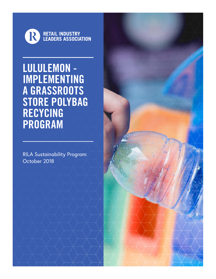

LULULEMON - IMPLEMENTING A GRASSROOTS STORE POLYBAG RECYCING PROGRAM

RILA Sustainability Program: October 2018

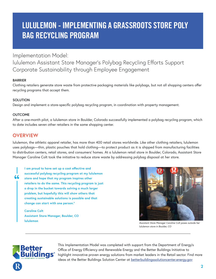# LULULEMON - IMPLEMENTING A GRASSROOTS STORE POLY BAG RECYCLING PROGRAM

Implementation Model: lululemon Assistant Store Manager's Polybag Recycling Efforts Support Corporate Sustainability through Employee Engagement

#### **BARRIER**

Clothing retailers generate store waste from protective packaging materials like polybags, but not all shopping centers offer recycling programs that accept them.

#### **SOLUTION**

Design and implement a store-specific polybag recycling program, in coordination with property management.

#### **OUTCOME**

66

After a one-month pilot, a lululemon store in Boulder, Colorado successfully implemented a polybag recycling program, which to date includes seven other retailers in the same shopping center.

## **OVERVIEW**

lululemon, the athletic apparel retailer, has more than 400 retail stores worldwide. Like other clothing retailers, lululemon uses polybags—thin, plastic pouches that hold clothing—to protect product as it is shipped from manufacturing facilities to distribution centers, retail stores, and consumers' homes. At a lululemon retail store in Boulder, Colorado, Assistant Store Manager Caroline Colt took the initiative to reduce store waste by addressing polybag disposal at her store.

**I am proud to have set up a cost effective and successful polybag recycling program at my lululemon store and hope that my program inspires other retailers to do the same. This recycling program is just a drop in the bucket towards solving a much larger problem, but hopefully this will show others that creating sustainable solutions is possible and that change can start with one person."**

**Caroline Colt Assistant Store Manager, Boulder, CO lululemon**



*Assistant Store Manager Caroline Colt poses outside her lululemon store in Boulder, CO*



This Implementation Model was completed with support from the Department of Energy's Office of Energy Efficiency and Renewable Energy and the Better Buildings Initiative to highlight innovative proven energy solutions from market leaders in the Retail sector. Find more ideas at the Better Buildings Solution Center at betterbuildingssolutioncenter.energy.gov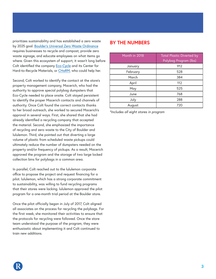prioritizes sustainability and has established a zero waste by 2025 goal. [Boulder's Universal Zero Waste Ordinance](https://bouldercolorado.gov/zero-waste/universal-zero-waste-ordinance) requires businesses to recycle and compost, provide zero waste signage, and educate employees on what items go where. Given this ecosystem of support, it wasn't long before Colt identified the company [Eco-Cycle](https://bouldercolorado.gov/zero-waste/universal-zero-waste-ordinance) and its Center for Hard-to-Recycle Materials, or [CHaRM,](http://www.ecocycle.org/charm) who could help her.

Second, Colt worked to identify the contact at the store's property management company, Macerich, who had the authority to approve special polybag dumpsters that Eco-Cycle needed to place onsite. Colt stayed persistent to identify the proper Macerich contacts and channels of authority. Once Colt found the correct contacts thanks to her broad outreach, she worked to secured Macerich's approval in several ways. First, she shared that she had already identified a recycling company that accepted the material. Second, she emphasized the importance of recycling and zero waste to the City of Boulder and lululemon. Third, she pointed out that diverting a large volume of plastic from scheduled waste pickups could ultimately reduce the number of dumpsters needed on the property and/or frequency of pickups. As a result, Macerich approved the program and the storage of two large locked collection bins for polybags in a common area.

In parallel, Colt reached out to the lululemon corporate office to propose the project and request financing for a pilot. lululemon, which has a strong corporate commitment to sustainability, was willing to fund recycling programs that their stores were lacking. lululemon approved the pilot program for a one-month trial period at the Boulder store.

Once the pilot officially began in July of 2017, Colt aligned all associates on the process for recycling the polybags. For the first week, she monitored their activities to ensure that the protocols for recycling were followed. Once the store team understood the purpose of the program, they were enthusiastic about implementing it and Colt continued to train new additions.

### **BY THE NUMBERS**

| Month in 2018 | <b>Total Plastic Diverted by</b><br>Polybag Program (lbs) |
|---------------|-----------------------------------------------------------|
| January       | 912                                                       |
| February      | 528                                                       |
| March         | 384                                                       |
| April         | 112                                                       |
| May           | 525                                                       |
| June          | 768                                                       |
| July          | 288                                                       |
| August        | 720                                                       |

*\*Includes all eight stores in program*

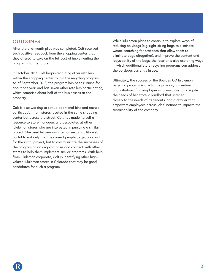### **OUTCOMES**

After the one-month pilot was completed, Colt received such positive feedback from the shopping center that they offered to take on the full cost of implementing the program into the future.

In October 2017, Colt began recruiting other retailers within the shopping center to join the recycling program. As of September 2018, the program has been running for about one year and has seven other retailers participating, which comprise about half of the businesses at the property.

Colt is also working to set up additional bins and recruit participation from stores located in the same shopping center but across the street. Colt has made herself a resource to store managers and associates at other lululemon stores who are interested in pursuing a similar project. She used lululemon's internal sustainability web portal to not only find the correct people to get approval for the initial project, but to communicate the successes of the program on an ongoing basis and connect with other stores to help them implement similar programs. With help from lululemon corporate, Colt is identifying other highvolume lululemon stores in Colorado that may be good candidates for such a program.

While lululemon plans to continue to explore ways of reducing polybags (e.g. right-sizing bags to eliminate waste, searching for practices that allow them to eliminate bags altogether), and improve the content and recyclability of the bags, the retailer is also exploring ways in which additional store recycling programs can address the polybags currently in use.

Ultimately, the success of the Boulder, CO lululemon recycling program is due to the passion, commitment, and initiative of an employee who was able to navigate the needs of her store, a landlord that listened closely to the needs of its tenants, and a retailer that empowers employees across job functions to improve the sustainability of the company.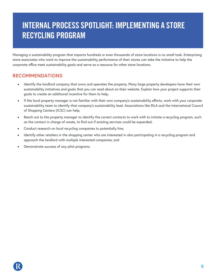# INTERNAL PROCESS SPOTLIGHT: IMPLEMENTING A STORE RECYCLING PROGRAM

Managing a sustainability program that impacts hundreds or even thousands of store locations is no small task. Enterprising store associates who want to improve the sustainability performance of their stores can take the initiative to help the corporate office meet sustainability goals and serve as a resource for other store locations.

### **RECOMMENDATIONS**

- Identify the landlord company that owns and operates the property. Many large property developers have their own sustainability initiatives and goals that you can read about on their website. Explain how your project supports their goals to create an additional incentive for them to help;
- If the local property manager is not familiar with their own company's sustainability efforts, work with your corporate sustainability team to identify that company's sustainability lead. Associations like RILA and the International Council of Shopping Centers (ICSC) can help;
- Reach out to the property manager to identify the correct contacts to work with to initiate a recycling program, such as the contact in charge of waste, to find out if existing services could be expanded;
- Conduct research on local recycling companies to potentially hire;
- Identify other retailers in the shopping center who are interested in also participating in a recycling program and approach the landlord with multiple interested companies; and
- Demonstrate success of any pilot programs.